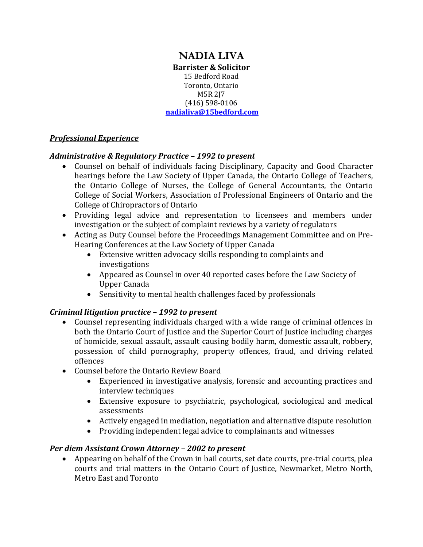#### **NADIA LIVA Barrister & Solicitor** 15 Bedford Road Toronto, Ontario M5R 2J7 (416) 598-0106 **[nadialiva@15bedford.com](mailto:nadialiva@15bedford.com)**

### *Professional Experience*

### *Administrative & Regulatory Practice – 1992 to present*

- Counsel on behalf of individuals facing Disciplinary, Capacity and Good Character hearings before the Law Society of Upper Canada, the Ontario College of Teachers, the Ontario College of Nurses, the College of General Accountants, the Ontario College of Social Workers, Association of Professional Engineers of Ontario and the College of Chiropractors of Ontario
- Providing legal advice and representation to licensees and members under investigation or the subject of complaint reviews by a variety of regulators
- Acting as Duty Counsel before the Proceedings Management Committee and on Pre-Hearing Conferences at the Law Society of Upper Canada
	- Extensive written advocacy skills responding to complaints and investigations
	- Appeared as Counsel in over 40 reported cases before the Law Society of Upper Canada
	- Sensitivity to mental health challenges faced by professionals

### *Criminal litigation practice – 1992 to present*

- Counsel representing individuals charged with a wide range of criminal offences in both the Ontario Court of Justice and the Superior Court of Justice including charges of homicide, sexual assault, assault causing bodily harm, domestic assault, robbery, possession of child pornography, property offences, fraud, and driving related offences
- Counsel before the Ontario Review Board
	- Experienced in investigative analysis, forensic and accounting practices and interview techniques
	- Extensive exposure to psychiatric, psychological, sociological and medical assessments
	- Actively engaged in mediation, negotiation and alternative dispute resolution
	- Providing independent legal advice to complainants and witnesses

### *Per diem Assistant Crown Attorney – 2002 to present*

 Appearing on behalf of the Crown in bail courts, set date courts, pre-trial courts, plea courts and trial matters in the Ontario Court of Justice, Newmarket, Metro North, Metro East and Toronto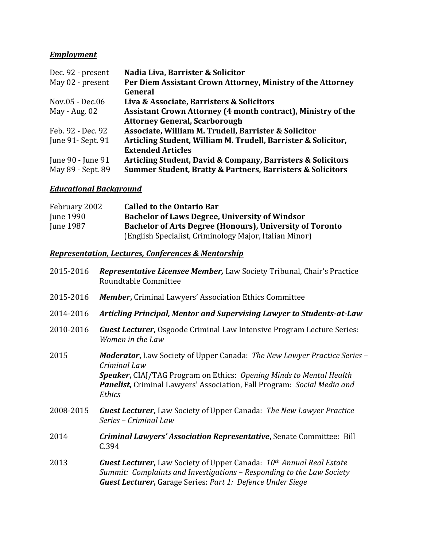# *Employment*

| Dec. 92 - present  | Nadia Liva, Barrister & Solicitor                                         |
|--------------------|---------------------------------------------------------------------------|
| May 02 - present   | Per Diem Assistant Crown Attorney, Ministry of the Attorney               |
|                    | General                                                                   |
| Nov.05 - Dec.06    | Liva & Associate, Barristers & Solicitors                                 |
| May - Aug. 02      | Assistant Crown Attorney (4 month contract), Ministry of the              |
|                    | <b>Attorney General, Scarborough</b>                                      |
| Feb. 92 - Dec. 92  | Associate, William M. Trudell, Barrister & Solicitor                      |
| June 91 - Sept. 91 | Articling Student, William M. Trudell, Barrister & Solicitor,             |
|                    | <b>Extended Articles</b>                                                  |
| June 90 - June 91  | Articling Student, David & Company, Barristers & Solicitors               |
| May 89 - Sept. 89  | <b>Summer Student, Bratty &amp; Partners, Barristers &amp; Solicitors</b> |

# *Educational Background*

| February 2002    | <b>Called to the Ontario Bar</b>                                |
|------------------|-----------------------------------------------------------------|
| June 1990        | <b>Bachelor of Laws Degree, University of Windsor</b>           |
| <b>June 1987</b> | <b>Bachelor of Arts Degree (Honours), University of Toronto</b> |
|                  | (English Specialist, Criminology Major, Italian Minor)          |

### *Representation, Lectures, Conferences & Mentorship*

| 2015-2016 | <b>Representative Licensee Member, Law Society Tribunal, Chair's Practice</b><br>Roundtable Committee                                                                                                                                                                     |
|-----------|---------------------------------------------------------------------------------------------------------------------------------------------------------------------------------------------------------------------------------------------------------------------------|
| 2015-2016 | <b>Member, Criminal Lawyers' Association Ethics Committee</b>                                                                                                                                                                                                             |
| 2014-2016 | Articling Principal, Mentor and Supervising Lawyer to Students-at-Law                                                                                                                                                                                                     |
| 2010-2016 | <b>Guest Lecturer, Osgoode Criminal Law Intensive Program Lecture Series:</b><br>Women in the Law                                                                                                                                                                         |
| 2015      | <b>Moderator, Law Society of Upper Canada: The New Lawyer Practice Series -</b><br>Criminal Law<br><b>Speaker, CIAJ/TAG Program on Ethics: Opening Minds to Mental Health</b><br><b>Panelist,</b> Criminal Lawyers' Association, Fall Program: Social Media and<br>Ethics |
| 2008-2015 | <b>Guest Lecturer, Law Society of Upper Canada: The New Lawyer Practice</b><br>Series - Criminal Law                                                                                                                                                                      |
| 2014      | <b>Criminal Lawyers' Association Representative, Senate Committee: Bill</b><br>C.394                                                                                                                                                                                      |
| 2013      | <b>Guest Lecturer,</b> Law Society of Upper Canada: 10 <sup>th</sup> Annual Real Estate<br>Summit: Complaints and Investigations - Responding to the Law Society<br><b>Guest Lecturer, Garage Series: Part 1: Defence Under Siege</b>                                     |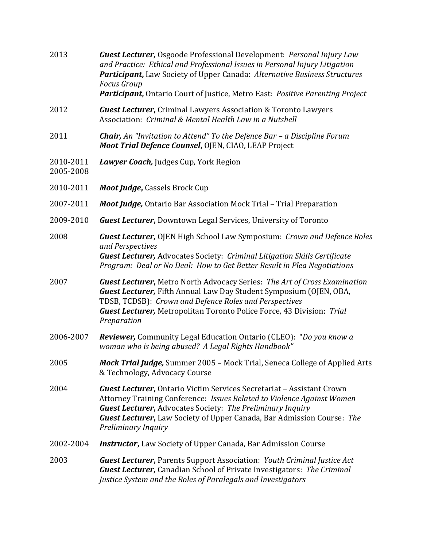- 2013 *Guest Lecturer,* Osgoode Professional Development: *Personal Injury Law and Practice: Ethical and Professional Issues in Personal Injury Litigation Participant***,** Law Society of Upper Canada: *Alternative Business Structures Focus Group Participant***,** Ontario Court of Justice, Metro East: *Positive Parenting Project*
- 2012 *Guest Lecturer***,** Criminal Lawyers Association & Toronto Lawyers Association: *Criminal & Mental Health Law in a Nutshell*
- 2011 *Chair, An "Invitation to Attend" To the Defence Bar – a Discipline Forum Moot Trial Defence Counsel***,** OJEN, CIAO, LEAP Project
- 2010-2011 *Lawyer Coach,* Judges Cup, York Region
- 2005-2008
- 2010-2011 *Moot Judge***,** Cassels Brock Cup
- 2007-2011 *Moot Judge,* Ontario Bar Association Mock Trial Trial Preparation
- 2009-2010 *Guest Lecturer***,** Downtown Legal Services, University of Toronto
- 2008 *Guest Lecturer,* OJEN High School Law Symposium: *Crown and Defence Roles and Perspectives Guest Lecturer,* Advocates Society: *Criminal Litigation Skills Certificate Program: Deal or No Deal: How to Get Better Result in Plea Negotiations*
- 2007 *Guest Lecturer***,** Metro North Advocacy Series: *The Art of Cross Examination Guest Lecturer,* Fifth Annual Law Day Student Symposium (OJEN, OBA, TDSB, TCDSB): *Crown and Defence Roles and Perspectives Guest Lecturer,* Metropolitan Toronto Police Force, 43 Division: *Trial Preparation*
- 2006-2007 *Reviewer,* Community Legal Education Ontario (CLEO): "*Do you know a woman who is being abused? A Legal Rights Handbook"*
- 2005 *Mock Trial Judge,* Summer 2005 Mock Trial, Seneca College of Applied Arts & Technology, Advocacy Course
- 2004 *Guest Lecturer***,** Ontario Victim Services Secretariat Assistant Crown Attorney Training Conference: *Issues Related to Violence Against Women Guest Lecturer***,** Advocates Society: *The Preliminary Inquiry Guest Lecturer***,** Law Society of Upper Canada, Bar Admission Course: *The Preliminary Inquiry*
- 2002-2004 *Instructor***,** Law Society of Upper Canada, Bar Admission Course

2003 *Guest Lecturer***,** Parents Support Association: *Youth Criminal Justice Act Guest Lecturer,* Canadian School of Private Investigators: *The Criminal Justice System and the Roles of Paralegals and Investigators*